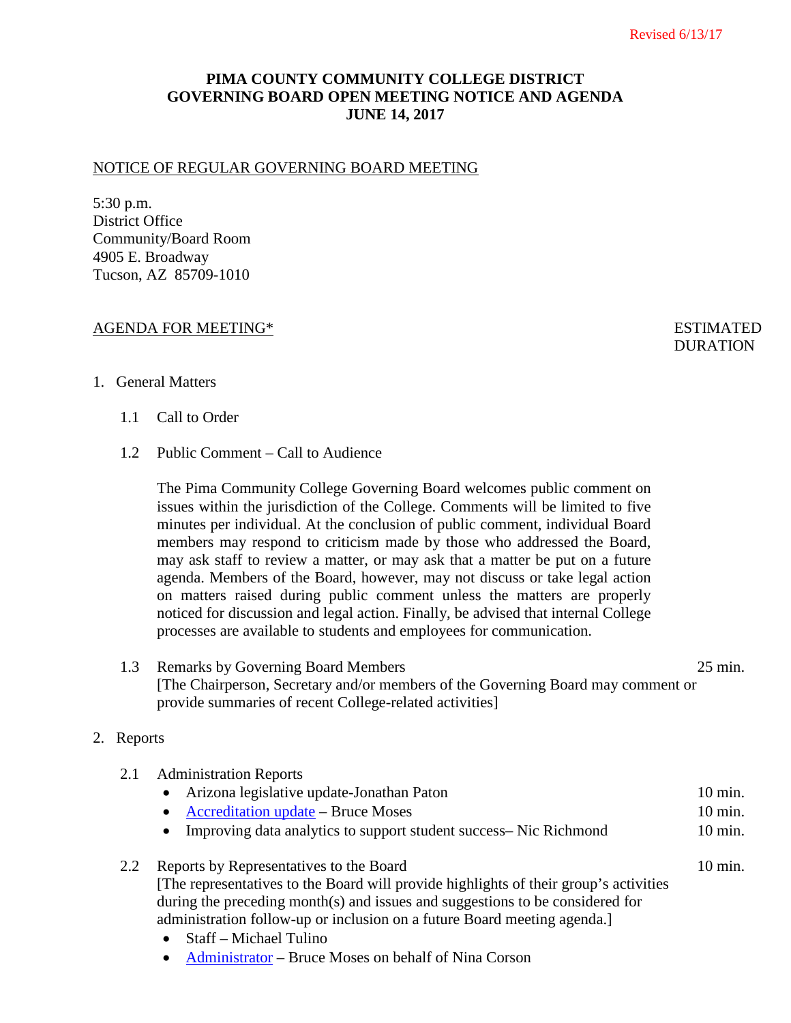# **PIMA COUNTY COMMUNITY COLLEGE DISTRICT GOVERNING BOARD OPEN MEETING NOTICE AND AGENDA JUNE 14, 2017**

### NOTICE OF REGULAR GOVERNING BOARD MEETING

5:30 p.m. District Office Community/Board Room 4905 E. Broadway Tucson, AZ 85709-1010

### AGENDA FOR MEETING\* ESTIMATED

**DURATION** 

### 1. General Matters

- 1.1 Call to Order
- 1.2 Public Comment Call to Audience

The Pima Community College Governing Board welcomes public comment on issues within the jurisdiction of the College. Comments will be limited to five minutes per individual. At the conclusion of public comment, individual Board members may respond to criticism made by those who addressed the Board, may ask staff to review a matter, or may ask that a matter be put on a future agenda. Members of the Board, however, may not discuss or take legal action on matters raised during public comment unless the matters are properly noticed for discussion and legal action. Finally, be advised that internal College processes are available to students and employees for communication.

## 1.3 Remarks by Governing Board Members 25 min. [The Chairperson, Secretary and/or members of the Governing Board may comment or provide summaries of recent College-related activities]

## 2. Reports

| 2.1 | <b>Administration Reports</b>                                                                                                                                                                                                                                                                                                                               |                    |
|-----|-------------------------------------------------------------------------------------------------------------------------------------------------------------------------------------------------------------------------------------------------------------------------------------------------------------------------------------------------------------|--------------------|
|     | Arizona legislative update-Jonathan Paton<br>$\bullet$                                                                                                                                                                                                                                                                                                      | $10 \text{ min}$ . |
|     | <b>Accreditation update – Bruce Moses</b><br>$\bullet$                                                                                                                                                                                                                                                                                                      | 10 min.            |
|     | Improving data analytics to support student success– Nic Richmond<br>$\bullet$                                                                                                                                                                                                                                                                              | $10 \text{ min.}$  |
| 2.2 | Reports by Representatives to the Board                                                                                                                                                                                                                                                                                                                     | $10 \text{ min}$ . |
|     | [The representatives to the Board will provide highlights of their group's activities                                                                                                                                                                                                                                                                       |                    |
|     | during the preceding month(s) and issues and suggestions to be considered for                                                                                                                                                                                                                                                                               |                    |
|     | administration follow-up or inclusion on a future Board meeting agenda.                                                                                                                                                                                                                                                                                     |                    |
|     | $\mathcal{C}$ $\mathcal{C}$ $\mathcal{A}$ $\mathcal{C}$ $\mathcal{A}$ $\mathcal{C}$ $\mathcal{A}$ $\mathcal{C}$ $\mathcal{A}$ $\mathcal{C}$ $\mathcal{A}$ $\mathcal{C}$ $\mathcal{A}$ $\mathcal{C}$ $\mathcal{A}$ $\mathcal{C}$ $\mathcal{A}$ $\mathcal{C}$ $\mathcal{A}$ $\mathcal{C}$ $\mathcal{A}$ $\mathcal{C}$ $\mathcal{A}$ $\mathcal{C}$ $\mathcal{$ |                    |

- Staff Michael Tulino
- [Administrator](http://www.pima.edu/meeting-notices-support/2017-docs/201706-14-administration-report.pdf) Bruce Moses on behalf of Nina Corson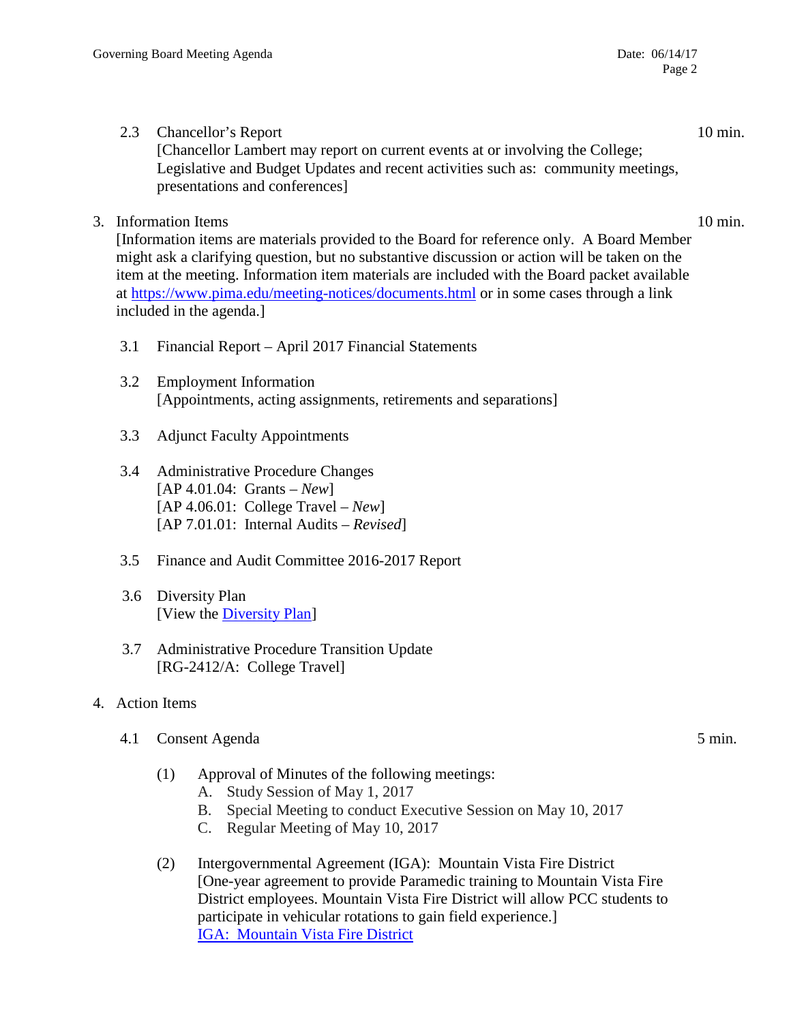- 2.3 Chancellor's Report 10 min. [Chancellor Lambert may report on current events at or involving the College; Legislative and Budget Updates and recent activities such as: community meetings, presentations and conferences]
- 3. Information Items 10 min.

[Information items are materials provided to the Board for reference only. A Board Member might ask a clarifying question, but no substantive discussion or action will be taken on the item at the meeting. Information item materials are included with the Board packet available at <https://www.pima.edu/meeting-notices/documents.html> or in some cases through a link included in the agenda.]

- 3.1 Financial Report April 2017 Financial Statements
- 3.2 Employment Information [Appointments, acting assignments, retirements and separations]
- 3.3 Adjunct Faculty Appointments
- 3.4 Administrative Procedure Changes [AP 4.01.04: Grants – *New*] [AP 4.06.01: College Travel – *New*] [AP 7.01.01: Internal Audits – *Revised*]
- 3.5 Finance and Audit Committee 2016-2017 Report
- 3.6 Diversity Plan [View the *Diversity Plan*]
- 3.7 Administrative Procedure Transition Update [RG-2412/A: College Travel]
- 4. Action Items
	- 4.1 Consent Agenda 5 min.

- (1) Approval of Minutes of the following meetings:
	- A. Study Session of May 1, 2017
	- B. Special Meeting to conduct Executive Session on May 10, 2017
	- C. Regular Meeting of May 10, 2017
- (2) Intergovernmental Agreement (IGA): Mountain Vista Fire District [One-year agreement to provide Paramedic training to Mountain Vista Fire District employees. Mountain Vista Fire District will allow PCC students to participate in vehicular rotations to gain field experience.] [IGA: Mountain Vista Fire District](http://www.pima.edu/meeting-notices-support/2017-docs/201706-14-mountain-vista-fire-district-paramedic-vehicular-iga.pdf)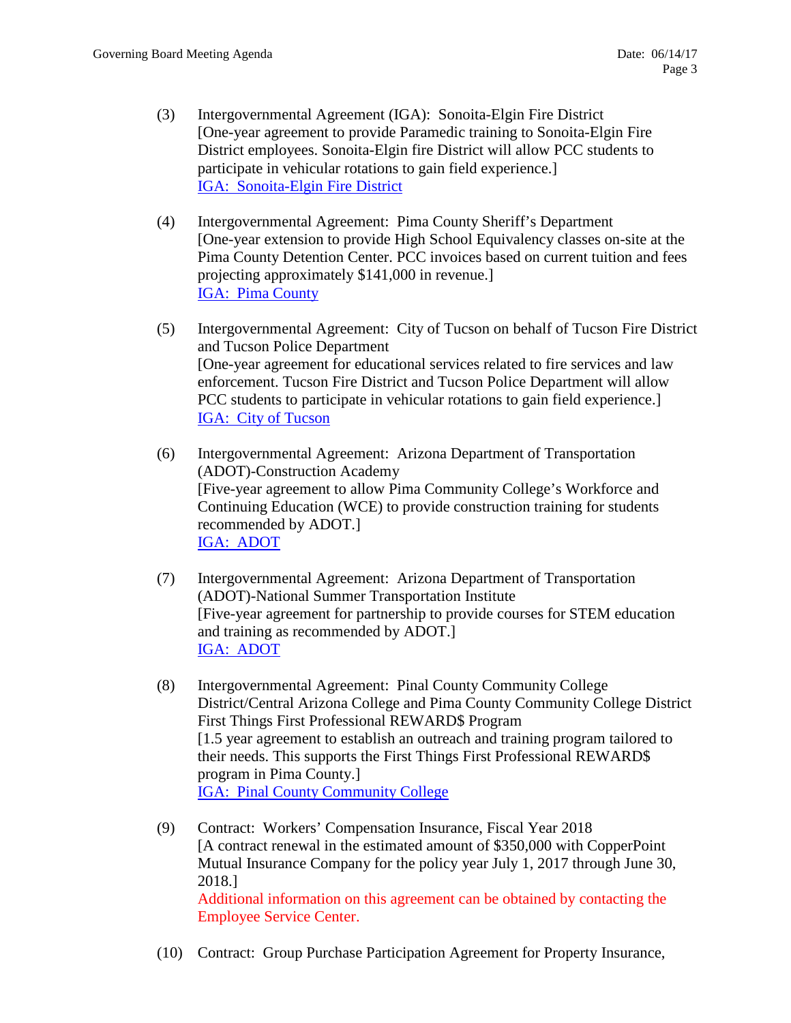- (3) Intergovernmental Agreement (IGA): Sonoita-Elgin Fire District [One-year agreement to provide Paramedic training to Sonoita-Elgin Fire District employees. Sonoita-Elgin fire District will allow PCC students to participate in vehicular rotations to gain field experience.] [IGA: Sonoita-Elgin Fire District](http://www.pima.edu/meeting-notices-support/2017-docs/201706-14-sonoita-elgin-fire-district-paramedic-vehicular-iga.pdf)
- (4) Intergovernmental Agreement: Pima County Sheriff's Department [One-year extension to provide High School Equivalency classes on-site at the Pima County Detention Center. PCC invoices based on current tuition and fees projecting approximately \$141,000 in revenue.] [IGA: Pima County](http://www.pima.edu/meeting-notices-support/2017-docs/201706-14-pima-county-sheriff-educational-services-iga.pdf)
- (5) Intergovernmental Agreement: City of Tucson on behalf of Tucson Fire District and Tucson Police Department [One-year agreement for educational services related to fire services and law enforcement. Tucson Fire District and Tucson Police Department will allow PCC students to participate in vehicular rotations to gain field experience.] [IGA: City of Tucson](http://www.pima.edu/meeting-notices-support/2017-docs/201706-14-city-or-tucson-fire-and-law-iga.pdf)
- (6) Intergovernmental Agreement: Arizona Department of Transportation (ADOT)-Construction Academy [Five-year agreement to allow Pima Community College's Workforce and Continuing Education (WCE) to provide construction training for students recommended by ADOT.] [IGA: ADOT](http://www.pima.edu/meeting-notices-support/2017-docs/201706-14-adot-pima-iga-construction-academy.pdf)
- (7) Intergovernmental Agreement: Arizona Department of Transportation (ADOT)-National Summer Transportation Institute [Five-year agreement for partnership to provide courses for STEM education and training as recommended by ADOT.] [IGA: ADOT](http://www.pima.edu/meeting-notices-support/2017-docs/201706-14-adot-national-summer-transportation-institute-iga.pdf)
- (8) Intergovernmental Agreement: Pinal County Community College District/Central Arizona College and Pima County Community College District First Things First Professional REWARD\$ Program [1.5 year agreement to establish an outreach and training program tailored to their needs. This supports the First Things First Professional REWARD\$ program in Pima County.] [IGA: Pinal County Community College](http://www.pima.edu/meeting-notices-support/2017-docs/201706-14-iga-pinal-county-rewards.pdf)
- (9) Contract: Workers' Compensation Insurance, Fiscal Year 2018 [A contract renewal in the estimated amount of \$350,000 with CopperPoint Mutual Insurance Company for the policy year July 1, 2017 through June 30, 2018.] Additional information on this agreement can be obtained by contacting the Employee Service Center.
- (10) Contract: Group Purchase Participation Agreement for Property Insurance,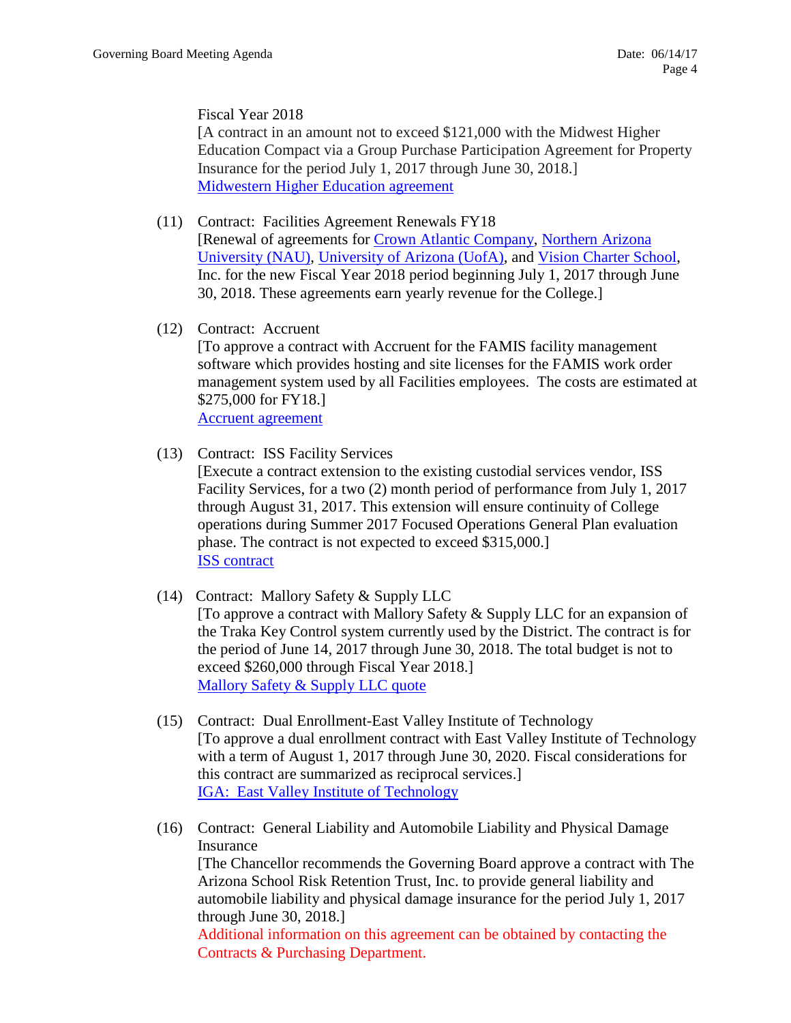Fiscal Year 2018

[A contract in an amount not to exceed \$121,000 with the Midwest Higher Education Compact via a Group Purchase Participation Agreement for Property Insurance for the period July 1, 2017 through June 30, 2018.] [Midwestern Higher Education agreement](http://www.pima.edu/meeting-notices-support/2017-docs/201706-14-group-property-insurance-mhec-preliminary.pdf)

- (11) Contract: Facilities Agreement Renewals FY18 [Renewal of agreements for [Crown Atlantic Company,](http://www.pima.edu/meeting-notices-support/2017-docs/201706-14-crown-atlantic-company-agreements.pdf) [Northern Arizona](http://www.pima.edu/meeting-notices-support/2017-docs/201706-14-nau-license-agreements.pdf)  [University \(NAU\),](http://www.pima.edu/meeting-notices-support/2017-docs/201706-14-nau-license-agreements.pdf) [University of Arizona \(UofA\),](http://www.pima.edu/meeting-notices-support/2017-docs/201706-14-uofa-license-agreement.pdf) and [Vision Charter School,](http://www.pima.edu/meeting-notices-support/2017-docs/201706-14-facility-license-agreement.pdf) Inc. for the new Fiscal Year 2018 period beginning July 1, 2017 through June 30, 2018. These agreements earn yearly revenue for the College.]
- (12) Contract: Accruent

[To approve a contract with Accruent for the FAMIS facility management software which provides hosting and site licenses for the FAMIS work order management system used by all Facilities employees. The costs are estimated at \$275,000 for FY18.]

[Accruent agreement](http://www.pima.edu/meeting-notices-support/2017-docs/201706-14-accruent-software-services-agreement.pdf)

(13) Contract: ISS Facility Services

[Execute a contract extension to the existing custodial services vendor, ISS Facility Services, for a two (2) month period of performance from July 1, 2017 through August 31, 2017. This extension will ensure continuity of College operations during Summer 2017 Focused Operations General Plan evaluation phase. The contract is not expected to exceed \$315,000.] [ISS contract](https://www.pima.edu/meeting-notices-support/2017-docs/201706-14-iss-facilities-services-agreement-extension.pdf)

(14) Contract: Mallory Safety & Supply LLC

[To approve a contract with Mallory Safety & Supply LLC for an expansion of the Traka Key Control system currently used by the District. The contract is for the period of June 14, 2017 through June 30, 2018. The total budget is not to exceed \$260,000 through Fiscal Year 2018.] [Mallory Safety & Supply LLC quote](http://www.pima.edu/meeting-notices-support/2017-docs/201706-14-key-control.pdf)

- (15) Contract: Dual Enrollment-East Valley Institute of Technology [To approve a dual enrollment contract with East Valley Institute of Technology with a term of August 1, 2017 through June 30, 2020. Fiscal considerations for this contract are summarized as reciprocal services.] [IGA: East Valley Institute of Technology](http://www.pima.edu/meeting-notices-support/2017-docs/201706-14-iga-east-valley-institute-of-technology.pdf)
- (16) Contract: General Liability and Automobile Liability and Physical Damage Insurance [The Chancellor recommends the Governing Board approve a contract with The Arizona School Risk Retention Trust, Inc. to provide general liability and automobile liability and physical damage insurance for the period July 1, 2017 through June 30, 2018.] Additional information on this agreement can be obtained by contacting the Contracts & Purchasing Department.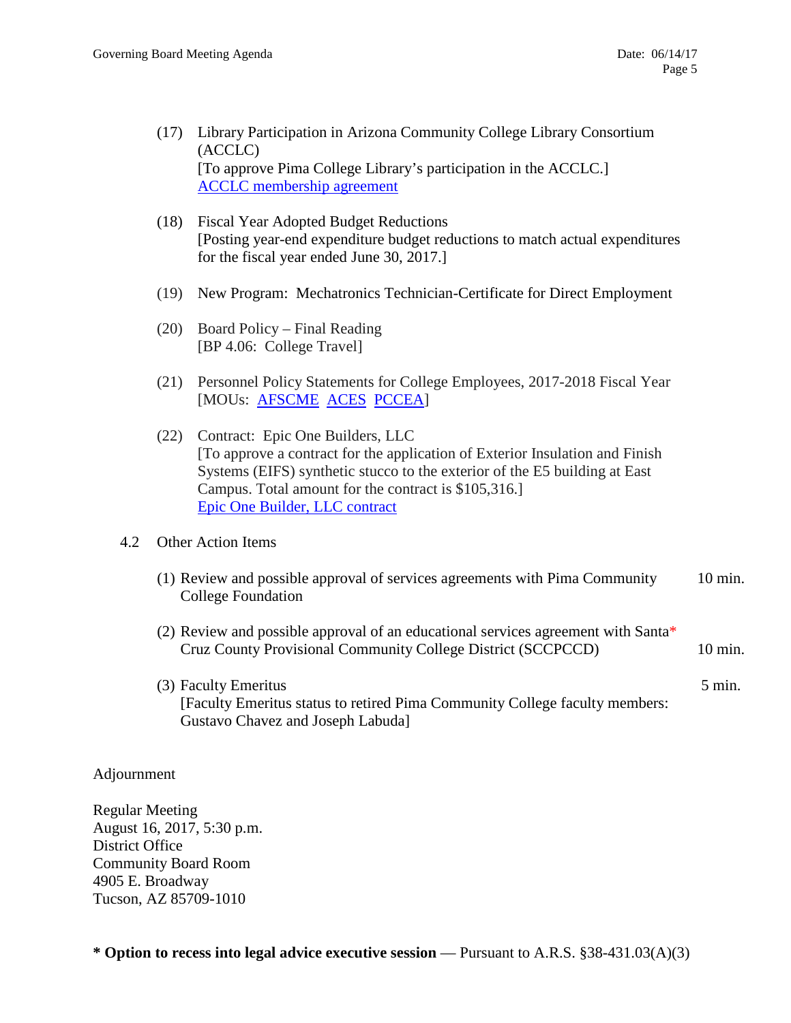- (17) Library Participation in Arizona Community College Library Consortium (ACCLC) [To approve Pima College Library's participation in the ACCLC.] [ACCLC membership agreement](http://www.pima.edu/meeting-notices-support/2017-docs/201706-14-acclc-membership-agreement.pdf)
- (18) Fiscal Year Adopted Budget Reductions [Posting year-end expenditure budget reductions to match actual expenditures for the fiscal year ended June 30, 2017.]
- (19) New Program: Mechatronics Technician-Certificate for Direct Employment
- (20) Board Policy Final Reading [BP 4.06: College Travel]
- (21) Personnel Policy Statements for College Employees, 2017-2018 Fiscal Year [MOUs: [AFSCME](http://www.pima.edu/meeting-notices-support/2017-docs/201706-14-afscme-mous.pdf) [ACES](http://www.pima.edu/meeting-notices-support/2017-docs/201706-14-aces-mous.pdf) [PCCEA\]](http://www.pima.edu/meeting-notices-support/2017-docs/201706-14-pccea-mous.pdf)
- (22) Contract: Epic One Builders, LLC [To approve a contract for the application of Exterior Insulation and Finish Systems (EIFS) synthetic stucco to the exterior of the E5 building at East Campus. Total amount for the contract is \$105,316.] [Epic One Builder, LLC contract](http://www.pima.edu/meeting-notices-support/2017-docs/201706-14-east-campus-painting-contract.pdf)

### 4.2 Other Action Items

- (1) Review and possible approval of services agreements with Pima Community 10 min. College Foundation
- (2) Review and possible approval of an educational services agreement with Santa\* Cruz County Provisional Community College District (SCCPCCD) 10 min.
- (3) Faculty Emeritus 5 min. [Faculty Emeritus status to retired Pima Community College faculty members: Gustavo Chavez and Joseph Labuda]

### Adjournment

Regular Meeting August 16, 2017, 5:30 p.m. District Office Community Board Room 4905 E. Broadway Tucson, AZ 85709-1010

**\* Option to recess into legal advice executive session** — Pursuant to A.R.S. §38-431.03(A)(3)